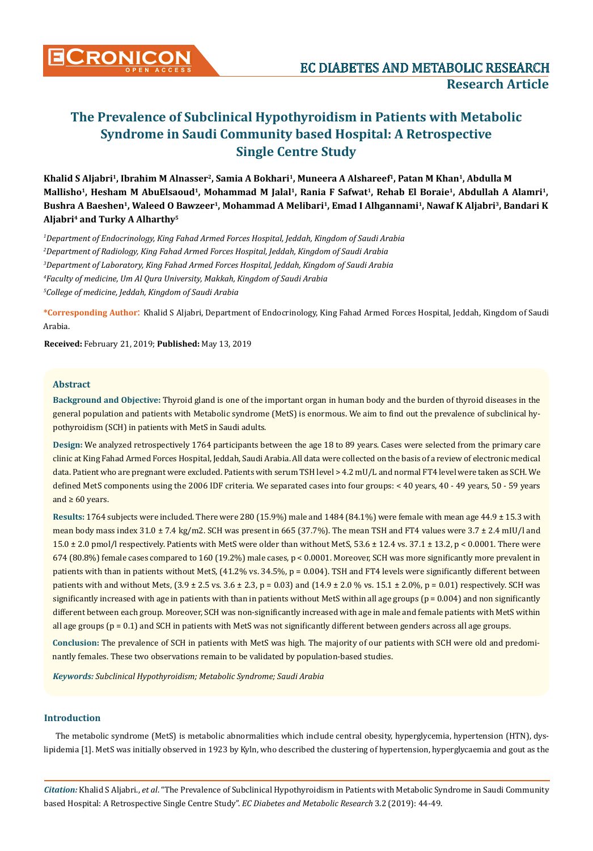# **The Prevalence of Subclinical Hypothyroidism in Patients with Metabolic Syndrome in Saudi Community based Hospital: A Retrospective Single Centre Study**

**Khalid S Aljabri1, Ibrahim M Alnasser2, Samia A Bokhari1, Muneera A Alshareef1, Patan M Khan1, Abdulla M**  Mallisho<sup>1</sup>, Hesham M AbuElsaoud<sup>1</sup>, Mohammad M Jalal<sup>1</sup>, Rania F Safwat<sup>1</sup>, Rehab El Boraie<sup>1</sup>, Abdullah A Alamri<sup>1</sup>, Bushra A Baeshen<sup>1</sup>, Waleed O Bawzeer<sup>1</sup>, Mohammad A Melibari<sup>1</sup>, Emad I Alhgannami<sup>1</sup>, Nawaf K Aljabri<sup>3</sup>, Bandari K **Aljabri4 and Turky A Alharthy5**

 *Department of Endocrinology, King Fahad Armed Forces Hospital, Jeddah, Kingdom of Saudi Arabia Department of Radiology, King Fahad Armed Forces Hospital, Jeddah, Kingdom of Saudi Arabia Department of Laboratory, King Fahad Armed Forces Hospital, Jeddah, Kingdom of Saudi Arabia Faculty of medicine, Um Al Qura University, Makkah, Kingdom of Saudi Arabia College of medicine, Jeddah, Kingdom of Saudi Arabia*

**\*Corresponding Author**: Khalid S Aljabri, Department of Endocrinology, King Fahad Armed Forces Hospital, Jeddah, Kingdom of Saudi Arabia.

**Received:** February 21, 2019; **Published:** May 13, 2019

## **Abstract**

**Background and Objective:** Thyroid gland is one of the important organ in human body and the burden of thyroid diseases in the general population and patients with Metabolic syndrome (MetS) is enormous. We aim to find out the prevalence of subclinical hypothyroidism (SCH) in patients with MetS in Saudi adults.

**Design:** We analyzed retrospectively 1764 participants between the age 18 to 89 years. Cases were selected from the primary care clinic at King Fahad Armed Forces Hospital, Jeddah, Saudi Arabia. All data were collected on the basis of a review of electronic medical data. Patient who are pregnant were excluded. Patients with serum TSH level > 4.2 mU/L and normal FT4 level were taken as SCH. We defined MetS components using the 2006 IDF criteria. We separated cases into four groups: < 40 years, 40 - 49 years, 50 - 59 years and  $\geq 60$  years.

**Results:** 1764 subjects were included. There were 280 (15.9%) male and 1484 (84.1%) were female with mean age 44.9 ± 15.3 with mean body mass index 31.0 ± 7.4 kg/m2. SCH was present in 665 (37.7%). The mean TSH and FT4 values were 3.7 ± 2.4 mIU/l and  $15.0 \pm 2.0$  pmol/l respectively. Patients with MetS were older than without MetS,  $53.6 \pm 12.4$  vs.  $37.1 \pm 13.2$ , p < 0.0001. There were 674 (80.8%) female cases compared to 160 (19.2%) male cases, p < 0.0001. Moreover, SCH was more significantly more prevalent in patients with than in patients without MetS, (41.2% vs. 34.5%, p = 0.004). TSH and FT4 levels were significantly different between patients with and without Mets,  $(3.9 \pm 2.5 \text{ vs. } 3.6 \pm 2.3, p = 0.03)$  and  $(14.9 \pm 2.0 \% \text{ vs. } 15.1 \pm 2.0\%, p = 0.01)$  respectively. SCH was significantly increased with age in patients with than in patients without MetS within all age groups (p = 0.004) and non significantly different between each group. Moreover, SCH was non-significantly increased with age in male and female patients with MetS within all age groups  $(p = 0.1)$  and SCH in patients with MetS was not significantly different between genders across all age groups.

**Conclusion:** The prevalence of SCH in patients with MetS was high. The majority of our patients with SCH were old and predominantly females. These two observations remain to be validated by population-based studies.

*Keywords: Subclinical Hypothyroidism; Metabolic Syndrome; Saudi Arabia* 

## **Introduction**

The metabolic syndrome (MetS) is metabolic abnormalities which include central obesity, hyperglycemia, hypertension (HTN), dyslipidemia [1]. MetS was initially observed in 1923 by Kyln, who described the clustering of hypertension, hyperglycaemia and gout as the

*Citation:* Khalid S Aljabri., *et al*. "The Prevalence of Subclinical Hypothyroidism in Patients with Metabolic Syndrome in Saudi Community based Hospital: A Retrospective Single Centre Study". *EC Diabetes and Metabolic Research* 3.2 (2019): 44-49.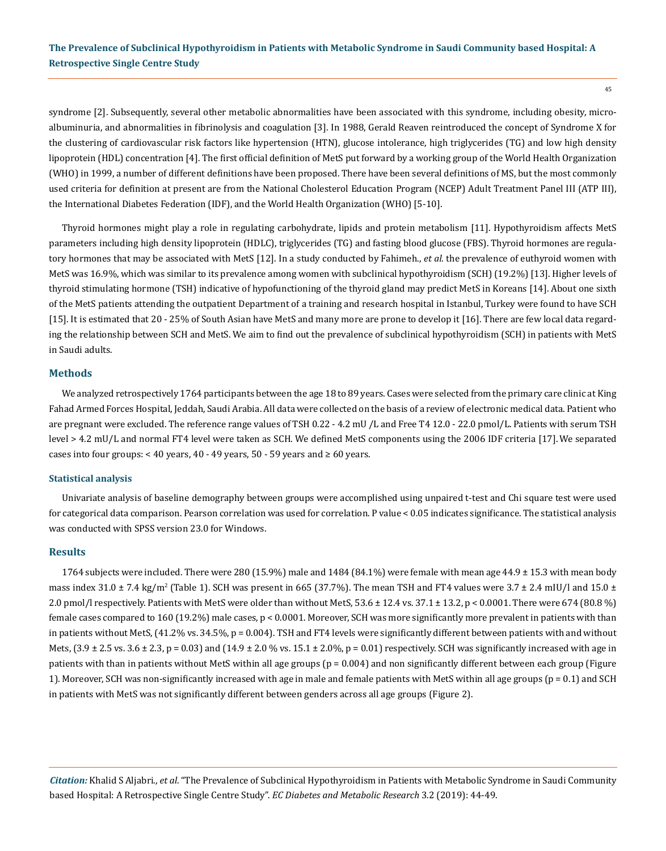syndrome [2]. Subsequently, several other metabolic abnormalities have been associated with this syndrome, including obesity, microalbuminuria, and abnormalities in fibrinolysis and coagulation [3]. In 1988, Gerald Reaven reintroduced the concept of Syndrome X for the clustering of cardiovascular risk factors like hypertension (HTN), glucose intolerance, high triglycerides (TG) and low high density lipoprotein (HDL) concentration [4]. The first official definition of MetS put forward by a working group of the World Health Organization (WHO) in 1999, a number of different definitions have been proposed. There have been several definitions of MS, but the most commonly used criteria for definition at present are from the National Cholesterol Education Program (NCEP) Adult Treatment Panel III (ATP III), the International Diabetes Federation (IDF), and the World Health Organization (WHO) [5-10].

Thyroid hormones might play a role in regulating carbohydrate, lipids and protein metabolism [11]. Hypothyroidism affects MetS parameters including high density lipoprotein (HDLC), triglycerides (TG) and fasting blood glucose (FBS). Thyroid hormones are regulatory hormones that may be associated with MetS [12]. In a study conducted by Fahimeh., *et al.* the prevalence of euthyroid women with MetS was 16.9%, which was similar to its prevalence among women with subclinical hypothyroidism (SCH) (19.2%) [13]. Higher levels of thyroid stimulating hormone (TSH) indicative of hypofunctioning of the thyroid gland may predict MetS in Koreans [14]. About one sixth of the MetS patients attending the outpatient Department of a training and research hospital in Istanbul, Turkey were found to have SCH [15]. It is estimated that 20 - 25% of South Asian have MetS and many more are prone to develop it [16]. There are few local data regarding the relationship between SCH and MetS. We aim to find out the prevalence of subclinical hypothyroidism (SCH) in patients with MetS in Saudi adults.

#### **Methods**

We analyzed retrospectively 1764 participants between the age 18 to 89 years. Cases were selected from the primary care clinic at King Fahad Armed Forces Hospital, Jeddah, Saudi Arabia. All data were collected on the basis of a review of electronic medical data. Patient who are pregnant were excluded. The reference range values of TSH 0.22 - 4.2 mU /L and Free T4 12.0 - 22.0 pmol/L. Patients with serum TSH level > 4.2 mU/L and normal FT4 level were taken as SCH. We defined MetS components using the 2006 IDF criteria [17].We separated cases into four groups: < 40 years, 40 - 49 years, 50 - 59 years and  $\geq 60$  years.

#### **Statistical analysis**

Univariate analysis of baseline demography between groups were accomplished using unpaired t-test and Chi square test were used for categorical data comparison. Pearson correlation was used for correlation. P value < 0.05 indicates significance. The statistical analysis was conducted with SPSS version 23.0 for Windows.

#### **Results**

1764 subjects were included. There were 280 (15.9%) male and 1484 (84.1%) were female with mean age 44.9 ± 15.3 with mean body mass index  $31.0 \pm 7.4$  kg/m<sup>2</sup> (Table 1). SCH was present in 665 (37.7%). The mean TSH and FT4 values were  $3.7 \pm 2.4$  mIU/l and  $15.0 \pm$ 2.0 pmol/l respectively. Patients with MetS were older than without MetS, 53.6 ± 12.4 vs. 37.1 ± 13.2, p < 0.0001. There were 674 (80.8 %) female cases compared to 160 (19.2%) male cases, p < 0.0001. Moreover, SCH was more significantly more prevalent in patients with than in patients without MetS, (41.2% vs. 34.5%, p = 0.004). TSH and FT4 levels were significantly different between patients with and without Mets,  $(3.9 \pm 2.5 \text{ vs. } 3.6 \pm 2.3, p = 0.03)$  and  $(14.9 \pm 2.0 \% \text{ vs. } 15.1 \pm 2.0\% , p = 0.01)$  respectively. SCH was significantly increased with age in patients with than in patients without MetS within all age groups  $(p = 0.004)$  and non significantly different between each group (Figure 1). Moreover, SCH was non-significantly increased with age in male and female patients with MetS within all age groups (p = 0.1) and SCH in patients with MetS was not significantly different between genders across all age groups (Figure 2).

*Citation:* Khalid S Aljabri., *et al*. "The Prevalence of Subclinical Hypothyroidism in Patients with Metabolic Syndrome in Saudi Community based Hospital: A Retrospective Single Centre Study". *EC Diabetes and Metabolic Research* 3.2 (2019): 44-49.

45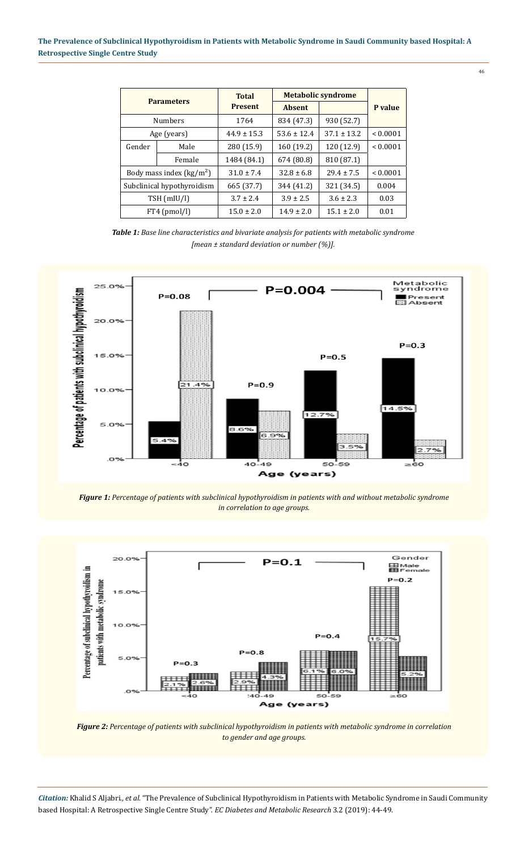46

| <b>Parameters</b>                       |        | <b>Total</b><br><b>Present</b> | <b>Metabolic syndrome</b> |                 |              |
|-----------------------------------------|--------|--------------------------------|---------------------------|-----------------|--------------|
|                                         |        |                                | <b>Absent</b>             |                 | P value      |
| <b>Numbers</b>                          |        | 1764                           | 834 (47.3)                | 930 (52.7)      |              |
| Age (years)                             |        | $44.9 \pm 15.3$                | $53.6 \pm 12.4$           | $37.1 \pm 13.2$ | ${}< 0.0001$ |
| Gender                                  | Male   | 280 (15.9)                     | 160 (19.2)                | 120 (12.9)      | < 0.0001     |
|                                         | Female | 1484 (84.1)                    | 674 (80.8)                | 810 (87.1)      |              |
| Body mass index $\frac{\text{kg}}{m^2}$ |        | $31.0 + 7.4$                   | $32.8 \pm 6.8$            | $29.4 + 7.5$    | ${}< 0.0001$ |
| Subclinical hypothyroidism              |        | 665 (37.7)                     | 344 (41.2)                | 321 (34.5)      | 0.004        |
| TSH (mIU/l)                             |        | $3.7 \pm 2.4$                  | $3.9 \pm 2.5$             | $3.6 \pm 2.3$   | 0.03         |
| $FT4$ (pmol/l)                          |        | $15.0 \pm 2.0$                 | $14.9 \pm 2.0$            | $15.1 \pm 2.0$  | 0.01         |

*Table 1: Base line characteristics and bivariate analysis for patients with metabolic syndrome [mean ± standard deviation or number (%)].*



*Figure 1: Percentage of patients with subclinical hypothyroidism in patients with and without metabolic syndrome in correlation to age groups.*



*Figure 2: Percentage of patients with subclinical hypothyroidism in patients with metabolic syndrome in correlation to gender and age groups.*

*Citation:* Khalid S Aljabri., *et al*. "The Prevalence of Subclinical Hypothyroidism in Patients with Metabolic Syndrome in Saudi Community based Hospital: A Retrospective Single Centre Study". *EC Diabetes and Metabolic Research* 3.2 (2019): 44-49.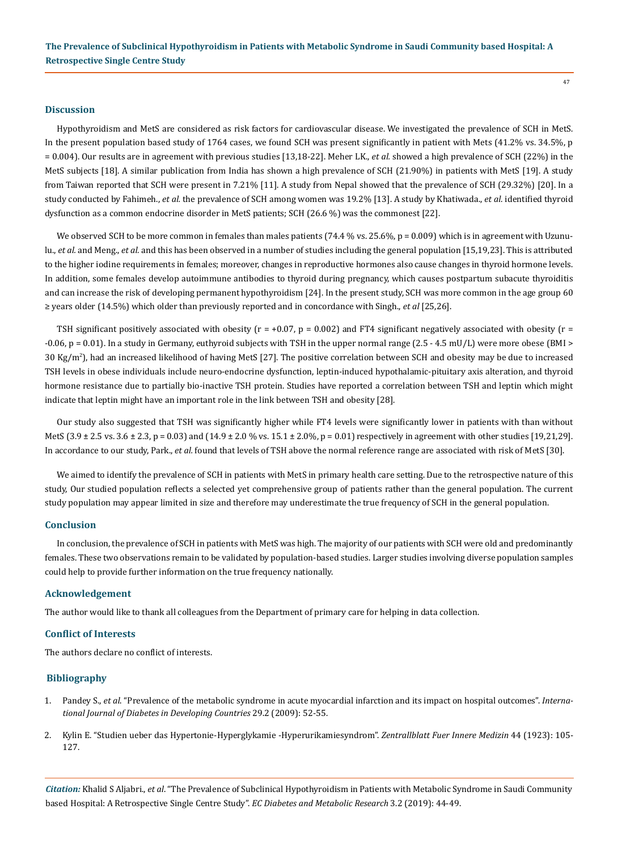#### **Discussion**

Hypothyroidism and MetS are considered as risk factors for cardiovascular disease. We investigated the prevalence of SCH in MetS. In the present population based study of 1764 cases, we found SCH was present significantly in patient with Mets (41.2% vs. 34.5%, p = 0.004). Our results are in agreement with previous studies [13,18-22]. Meher LK., *et al.* showed a high prevalence of SCH (22%) in the MetS subjects [18]. A similar publication from India has shown a high prevalence of SCH (21.90%) in patients with MetS [19]. A study from Taiwan reported that SCH were present in 7.21% [11]. A study from Nepal showed that the prevalence of SCH (29.32%) [20]. In a study conducted by Fahimeh., *et al.* the prevalence of SCH among women was 19.2% [13]. A study by Khatiwada., *et al.* identified thyroid dysfunction as a common endocrine disorder in MetS patients; SCH (26.6 %) was the commonest [22].

We observed SCH to be more common in females than males patients (74.4 % vs. 25.6%,  $p = 0.009$ ) which is in agreement with Uzunulu., *et al.* and Meng., *et al.* and this has been observed in a number of studies including the general population [15,19,23]. This is attributed to the higher iodine requirements in females; moreover, changes in reproductive hormones also cause changes in thyroid hormone levels. In addition, some females develop autoimmune antibodies to thyroid during pregnancy, which causes postpartum subacute thyroiditis and can increase the risk of developing permanent hypothyroidism [24]. In the present study, SCH was more common in the age group 60 ≥ years older (14.5%) which older than previously reported and in concordance with Singh., *et al* [25,26].

TSH significant positively associated with obesity ( $r = +0.07$ ,  $p = 0.002$ ) and FT4 significant negatively associated with obesity ( $r =$ -0.06, p = 0.01). In a study in Germany, euthyroid subjects with TSH in the upper normal range (2.5 - 4.5 mU/L) were more obese (BMI > 30 Kg/m<sup>2</sup> ), had an increased likelihood of having MetS [27]. The positive correlation between SCH and obesity may be due to increased TSH levels in obese individuals include neuro-endocrine dysfunction, leptin-induced hypothalamic-pituitary axis alteration, and thyroid hormone resistance due to partially bio-inactive TSH protein. Studies have reported a correlation between TSH and leptin which might indicate that leptin might have an important role in the link between TSH and obesity [28].

Our study also suggested that TSH was significantly higher while FT4 levels were significantly lower in patients with than without MetS (3.9  $\pm$  2.5 vs. 3.6  $\pm$  2.3, p = 0.03) and (14.9  $\pm$  2.0 % vs. 15.1  $\pm$  2.0%, p = 0.01) respectively in agreement with other studies [19,21,29]. In accordance to our study, Park., *et al.* found that levels of TSH above the normal reference range are associated with risk of MetS [30].

We aimed to identify the prevalence of SCH in patients with MetS in primary health care setting. Due to the retrospective nature of this study, Our studied population reflects a selected yet comprehensive group of patients rather than the general population. The current study population may appear limited in size and therefore may underestimate the true frequency of SCH in the general population.

#### **Conclusion**

In conclusion, the prevalence of SCH in patients with MetS was high. The majority of our patients with SCH were old and predominantly females. These two observations remain to be validated by population-based studies. Larger studies involving diverse population samples could help to provide further information on the true frequency nationally.

#### **Acknowledgement**

The author would like to thank all colleagues from the Department of primary care for helping in data collection.

#### **Conflict of Interests**

The authors declare no conflict of interests.

### **Bibliography**

- 1. Pandey S., *et al*[. "Prevalence of the metabolic syndrome in acute myocardial infarction and its impact on hospital outcomes".](https://www.ncbi.nlm.nih.gov/pubmed/20142868) *Interna[tional Journal of Diabetes in Developing Countries](https://www.ncbi.nlm.nih.gov/pubmed/20142868)* 29.2 (2009): 52-55.
- 2. Kylin E. "Studien ueber das Hypertonie-Hyperglykamie -Hyperurikamiesyndrom". *Zentrallblatt Fuer Innere Medizin* 44 (1923): 105- 127.

*Citation:* Khalid S Aljabri., *et al*. "The Prevalence of Subclinical Hypothyroidism in Patients with Metabolic Syndrome in Saudi Community based Hospital: A Retrospective Single Centre Study". *EC Diabetes and Metabolic Research* 3.2 (2019): 44-49.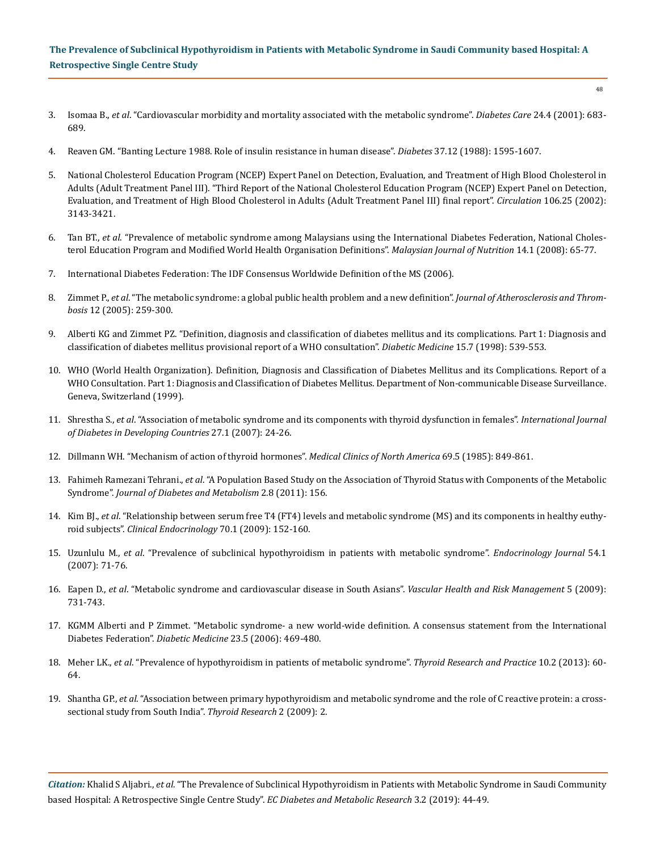# **The Prevalence of Subclinical Hypothyroidism in Patients with Metabolic Syndrome in Saudi Community based Hospital: A Retrospective Single Centre Study**

- 3. Isomaa B., *et al*[. "Cardiovascular morbidity and mortality associated with the metabolic syndrome".](https://www.ncbi.nlm.nih.gov/pubmed/11315831) *Diabetes Care* 24.4 (2001): 683- [689.](https://www.ncbi.nlm.nih.gov/pubmed/11315831)
- 4. [Reaven GM. "Banting Lecture 1988. Role of insulin resistance in human disease".](https://www.ncbi.nlm.nih.gov/pubmed/3056758) *Diabetes* 37.12 (1988): 1595-1607.
- 5. [National Cholesterol Education Program \(NCEP\) Expert Panel on Detection, Evaluation, and Treatment of High Blood Cholesterol in](https://www.ncbi.nlm.nih.gov/pubmed/12485966) [Adults \(Adult Treatment Panel III\). "Third Report of the National Cholesterol Education Program \(NCEP\) Expert Panel on Detection,](https://www.ncbi.nlm.nih.gov/pubmed/12485966) [Evaluation, and Treatment of High Blood Cholesterol in Adults \(Adult Treatment Panel III\) final report".](https://www.ncbi.nlm.nih.gov/pubmed/12485966) *Circulation* 106.25 (2002): [3143-3421.](https://www.ncbi.nlm.nih.gov/pubmed/12485966)
- 6. Tan BT., *et al*[. "Prevalence of metabolic syndrome among Malaysians using the International Diabetes Federation, National Choles](https://www.ncbi.nlm.nih.gov/pubmed/22691765)[terol Education Program and Modified World Health Organisation Definitions".](https://www.ncbi.nlm.nih.gov/pubmed/22691765) *Malaysian Journal of Nutrition* 14.1 (2008): 65-77.
- 7. [International Diabetes Federation: The IDF Consensus Worldwide Definition of the MS \(2006\).](https://www.pitt.edu/~super1/Metabolic/IDF1.pdf)
- 8. Zimmet P., *et al*[. "The metabolic syndrome: a global public health problem and a new definition".](https://www.ncbi.nlm.nih.gov/pubmed/16394610) *Journal of Atherosclerosis and Thrombosis* [12 \(2005\): 259-300.](https://www.ncbi.nlm.nih.gov/pubmed/16394610)
- 9. [Alberti KG and Zimmet PZ. "Definition, diagnosis and classification of diabetes mellitus and its complications. Part 1: Diagnosis and](https://www.ncbi.nlm.nih.gov/pubmed/9686693) [classification of diabetes mellitus provisional report of a WHO consultation".](https://www.ncbi.nlm.nih.gov/pubmed/9686693) *Diabetic Medicine* 15.7 (1998): 539‑553.
- 10. [WHO \(World Health Organization\). Definition, Diagnosis and Classification of Diabetes Mellitus and its Complications. Report of a](https://apps.who.int/iris/bitstream/handle/10665/66040/WHO_NCD_NCS_99.2.pdf?sequence=1) [WHO Consultation. Part 1: Diagnosis and Classification of Diabetes Mellitus. Department of Non-communicable Disease Surveillance.](https://apps.who.int/iris/bitstream/handle/10665/66040/WHO_NCD_NCS_99.2.pdf?sequence=1) [Geneva, Switzerland \(1999\).](https://apps.who.int/iris/bitstream/handle/10665/66040/WHO_NCD_NCS_99.2.pdf?sequence=1)
- 11. Shrestha S., *et al*[. "Association of metabolic syndrome and its components with thyroid dysfunction in females".](https://www.researchgate.net/publication/235956501_Association_of_metabolic_syndrome_and_its_components_with_thyroid_dysfunction_in_females) *International Journal [of Diabetes in Developing Countries](https://www.researchgate.net/publication/235956501_Association_of_metabolic_syndrome_and_its_components_with_thyroid_dysfunction_in_females)* 27.1 (2007): 24-26.
- 12. [Dillmann WH. "Mechanism of action of thyroid hormones".](https://www.ncbi.nlm.nih.gov/pubmed/2997556) *Medical Clinics of North America* 69.5 (1985): 849-861.
- 13. Fahimeh Ramezani Tehrani., *et al*[. "A Population Based Study on the Association of Thyroid Status with Components of the Metabolic](https://www.omicsonline.org/a-population-based-study-on-the-association-of-thyroid-status-with-components-of-the-metabolic-syndrome-2155-6156.1000156.php?aid=2687)  Syndrome". *[Journal of Diabetes and Metabolism](https://www.omicsonline.org/a-population-based-study-on-the-association-of-thyroid-status-with-components-of-the-metabolic-syndrome-2155-6156.1000156.php?aid=2687)* 2.8 (2011): 156.
- 14. Kim BJ., *et al*[. "Relationship between serum free T4 \(FT4\) levels and metabolic syndrome \(MS\) and its components in healthy euthy](https://www.ncbi.nlm.nih.gov/pubmed/18494864)roid subjects". *[Clinical Endocrinology](https://www.ncbi.nlm.nih.gov/pubmed/18494864)* 70.1 (2009): 152-160.
- 15. Uzunlulu M., *et al*[. "Prevalence of subclinical hypothyroidism in patients with metabolic syndrome".](https://www.ncbi.nlm.nih.gov/pubmed/17102569) *Endocrinology Journal* 54.1 [\(2007\): 71-76.](https://www.ncbi.nlm.nih.gov/pubmed/17102569)
- 16. Eapen D., *et al*[. "Metabolic syndrome and cardiovascular disease in South Asians".](https://www.ncbi.nlm.nih.gov/pmc/articles/PMC2742703/) *Vascular Health and Risk Management* 5 (2009): [731-743.](https://www.ncbi.nlm.nih.gov/pmc/articles/PMC2742703/)
- 17. [KGMM Alberti and P Zimmet. "Metabolic syndrome- a new world-wide definition. A consensus statement from the International](https://www.ncbi.nlm.nih.gov/pubmed/16681555) Diabetes Federation". *Diabetic Medicine* [23.5 \(2006\): 469-480.](https://www.ncbi.nlm.nih.gov/pubmed/16681555)
- 18. Meher LK., *et al*[. "Prevalence of hypothyroidism in patients of metabolic syndrome".](http://www.thetrp.net/article.asp?issn=0973-0354;year=2013;volume=10;issue=2;spage=60;epage=64;aulast=Meher) *Thyroid Research and Practice* 10.2 (2013): 60- [64.](http://www.thetrp.net/article.asp?issn=0973-0354;year=2013;volume=10;issue=2;spage=60;epage=64;aulast=Meher)
- 19. Shantha GP., *et al*[. "Association between primary hypothyroidism and metabolic syndrome and the role of C reactive protein: a cross](https://www.ncbi.nlm.nih.gov/pmc/articles/PMC2655275/)[sectional study from South India".](https://www.ncbi.nlm.nih.gov/pmc/articles/PMC2655275/) *Thyroid Research* 2 (2009): 2.

*Citation:* Khalid S Aljabri., *et al*. "The Prevalence of Subclinical Hypothyroidism in Patients with Metabolic Syndrome in Saudi Community based Hospital: A Retrospective Single Centre Study". *EC Diabetes and Metabolic Research* 3.2 (2019): 44-49.

48